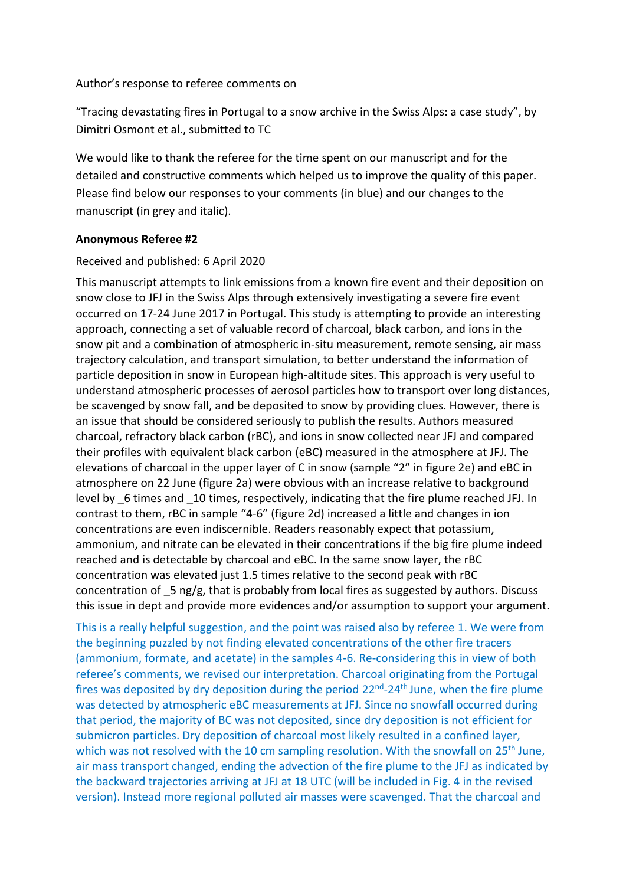## Author's response to referee comments on

"Tracing devastating fires in Portugal to a snow archive in the Swiss Alps: a case study", by Dimitri Osmont et al., submitted to TC

We would like to thank the referee for the time spent on our manuscript and for the detailed and constructive comments which helped us to improve the quality of this paper. Please find below our responses to your comments (in blue) and our changes to the manuscript (in grey and italic).

## **Anonymous Referee #2**

# Received and published: 6 April 2020

This manuscript attempts to link emissions from a known fire event and their deposition on snow close to JFJ in the Swiss Alps through extensively investigating a severe fire event occurred on 17-24 June 2017 in Portugal. This study is attempting to provide an interesting approach, connecting a set of valuable record of charcoal, black carbon, and ions in the snow pit and a combination of atmospheric in-situ measurement, remote sensing, air mass trajectory calculation, and transport simulation, to better understand the information of particle deposition in snow in European high-altitude sites. This approach is very useful to understand atmospheric processes of aerosol particles how to transport over long distances, be scavenged by snow fall, and be deposited to snow by providing clues. However, there is an issue that should be considered seriously to publish the results. Authors measured charcoal, refractory black carbon (rBC), and ions in snow collected near JFJ and compared their profiles with equivalent black carbon (eBC) measured in the atmosphere at JFJ. The elevations of charcoal in the upper layer of C in snow (sample "2" in figure 2e) and eBC in atmosphere on 22 June (figure 2a) were obvious with an increase relative to background level by 6 times and 10 times, respectively, indicating that the fire plume reached JFJ. In contrast to them, rBC in sample "4-6" (figure 2d) increased a little and changes in ion concentrations are even indiscernible. Readers reasonably expect that potassium, ammonium, and nitrate can be elevated in their concentrations if the big fire plume indeed reached and is detectable by charcoal and eBC. In the same snow layer, the rBC concentration was elevated just 1.5 times relative to the second peak with rBC concentration of \_5 ng/g, that is probably from local fires as suggested by authors. Discuss this issue in dept and provide more evidences and/or assumption to support your argument.

This is a really helpful suggestion, and the point was raised also by referee 1. We were from the beginning puzzled by not finding elevated concentrations of the other fire tracers (ammonium, formate, and acetate) in the samples 4-6. Re-considering this in view of both referee's comments, we revised our interpretation. Charcoal originating from the Portugal fires was deposited by dry deposition during the period  $22^{nd}$ - $24^{th}$  June, when the fire plume was detected by atmospheric eBC measurements at JFJ. Since no snowfall occurred during that period, the majority of BC was not deposited, since dry deposition is not efficient for submicron particles. Dry deposition of charcoal most likely resulted in a confined layer, which was not resolved with the 10 cm sampling resolution. With the snowfall on  $25<sup>th</sup>$  June, air mass transport changed, ending the advection of the fire plume to the JFJ as indicated by the backward trajectories arriving at JFJ at 18 UTC (will be included in Fig. 4 in the revised version). Instead more regional polluted air masses were scavenged. That the charcoal and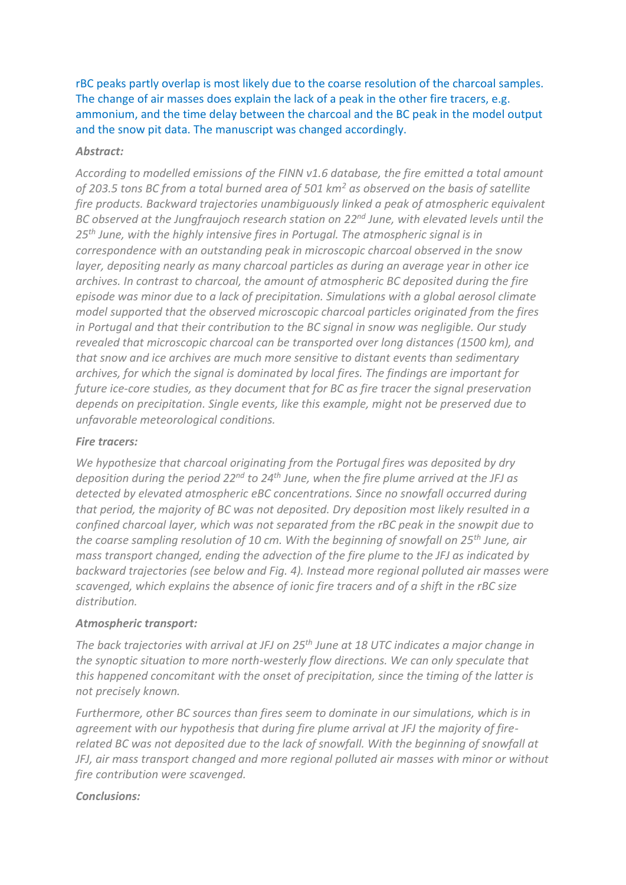rBC peaks partly overlap is most likely due to the coarse resolution of the charcoal samples. The change of air masses does explain the lack of a peak in the other fire tracers, e.g. ammonium, and the time delay between the charcoal and the BC peak in the model output and the snow pit data. The manuscript was changed accordingly.

#### *Abstract:*

*According to modelled emissions of the FINN v1.6 database, the fire emitted a total amount of 203.5 tons BC from a total burned area of 501 km<sup>2</sup> as observed on the basis of satellite fire products. Backward trajectories unambiguously linked a peak of atmospheric equivalent BC observed at the Jungfraujoch research station on 22nd June, with elevated levels until the 25th June, with the highly intensive fires in Portugal. The atmospheric signal is in correspondence with an outstanding peak in microscopic charcoal observed in the snow layer, depositing nearly as many charcoal particles as during an average year in other ice archives. In contrast to charcoal, the amount of atmospheric BC deposited during the fire episode was minor due to a lack of precipitation. Simulations with a global aerosol climate model supported that the observed microscopic charcoal particles originated from the fires in Portugal and that their contribution to the BC signal in snow was negligible. Our study revealed that microscopic charcoal can be transported over long distances (1500 km), and that snow and ice archives are much more sensitive to distant events than sedimentary archives, for which the signal is dominated by local fires. The findings are important for future ice-core studies, as they document that for BC as fire tracer the signal preservation depends on precipitation. Single events, like this example, might not be preserved due to unfavorable meteorological conditions.*

#### *Fire tracers:*

*We hypothesize that charcoal originating from the Portugal fires was deposited by dry deposition during the period 22nd to 24th June, when the fire plume arrived at the JFJ as detected by elevated atmospheric eBC concentrations. Since no snowfall occurred during that period, the majority of BC was not deposited. Dry deposition most likely resulted in a confined charcoal layer, which was not separated from the rBC peak in the snowpit due to the coarse sampling resolution of 10 cm. With the beginning of snowfall on 25th June, air mass transport changed, ending the advection of the fire plume to the JFJ as indicated by backward trajectories (see below and Fig. 4). Instead more regional polluted air masses were scavenged, which explains the absence of ionic fire tracers and of a shift in the rBC size distribution.*

### *Atmospheric transport:*

*The back trajectories with arrival at JFJ on 25th June at 18 UTC indicates a major change in the synoptic situation to more north-westerly flow directions. We can only speculate that this happened concomitant with the onset of precipitation, since the timing of the latter is not precisely known.*

*Furthermore, other BC sources than fires seem to dominate in our simulations, which is in agreement with our hypothesis that during fire plume arrival at JFJ the majority of firerelated BC was not deposited due to the lack of snowfall. With the beginning of snowfall at JFJ, air mass transport changed and more regional polluted air masses with minor or without fire contribution were scavenged.*

### *Conclusions:*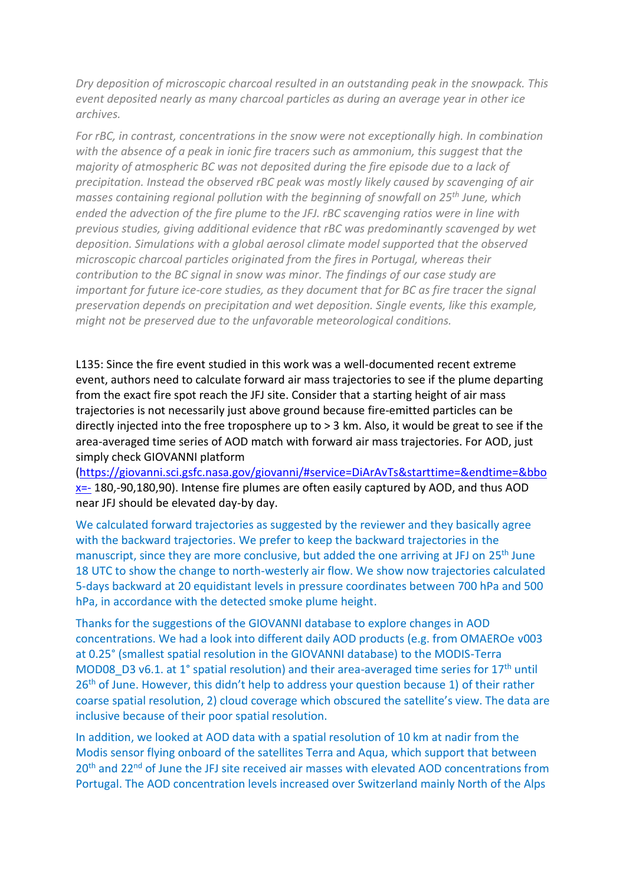*Dry deposition of microscopic charcoal resulted in an outstanding peak in the snowpack. This event deposited nearly as many charcoal particles as during an average year in other ice archives.* 

*For rBC, in contrast, concentrations in the snow were not exceptionally high. In combination with the absence of a peak in ionic fire tracers such as ammonium, this suggest that the majority of atmospheric BC was not deposited during the fire episode due to a lack of precipitation. Instead the observed rBC peak was mostly likely caused by scavenging of air masses containing regional pollution with the beginning of snowfall on 25th June, which ended the advection of the fire plume to the JFJ. rBC scavenging ratios were in line with previous studies, giving additional evidence that rBC was predominantly scavenged by wet deposition. Simulations with a global aerosol climate model supported that the observed microscopic charcoal particles originated from the fires in Portugal, whereas their contribution to the BC signal in snow was minor. The findings of our case study are important for future ice-core studies, as they document that for BC as fire tracer the signal preservation depends on precipitation and wet deposition. Single events, like this example, might not be preserved due to the unfavorable meteorological conditions.*

L135: Since the fire event studied in this work was a well-documented recent extreme event, authors need to calculate forward air mass trajectories to see if the plume departing from the exact fire spot reach the JFJ site. Consider that a starting height of air mass trajectories is not necessarily just above ground because fire-emitted particles can be directly injected into the free troposphere up to > 3 km. Also, it would be great to see if the area-averaged time series of AOD match with forward air mass trajectories. For AOD, just simply check GIOVANNI platform

[\(https://giovanni.sci.gsfc.nasa.gov/giovanni/#service=DiArAvTs&starttime=&endtime=&bbo](https://giovanni.sci.gsfc.nasa.gov/giovanni/#service=DiArAvTs&starttime=&endtime=&bbox=-)  $x=-$  180,-90,180,90). Intense fire plumes are often easily captured by AOD, and thus AOD near JFJ should be elevated day-by day.

We calculated forward trajectories as suggested by the reviewer and they basically agree with the backward trajectories. We prefer to keep the backward trajectories in the manuscript, since they are more conclusive, but added the one arriving at JFJ on 25<sup>th</sup> June 18 UTC to show the change to north-westerly air flow. We show now trajectories calculated 5-days backward at 20 equidistant levels in pressure coordinates between 700 hPa and 500 hPa, in accordance with the detected smoke plume height.

Thanks for the suggestions of the GIOVANNI database to explore changes in AOD concentrations. We had a look into different daily AOD products (e.g. from OMAEROe v003 at 0.25° (smallest spatial resolution in the GIOVANNI database) to the MODIS-Terra MOD08\_D3 v6.1. at 1° spatial resolution) and their area-averaged time series for 17<sup>th</sup> until 26<sup>th</sup> of June. However, this didn't help to address your question because 1) of their rather coarse spatial resolution, 2) cloud coverage which obscured the satellite's view. The data are inclusive because of their poor spatial resolution.

In addition, we looked at AOD data with a spatial resolution of 10 km at nadir from the Modis sensor flying onboard of the satellites Terra and Aqua, which support that between 20<sup>th</sup> and 22<sup>nd</sup> of June the JFJ site received air masses with elevated AOD concentrations from Portugal. The AOD concentration levels increased over Switzerland mainly North of the Alps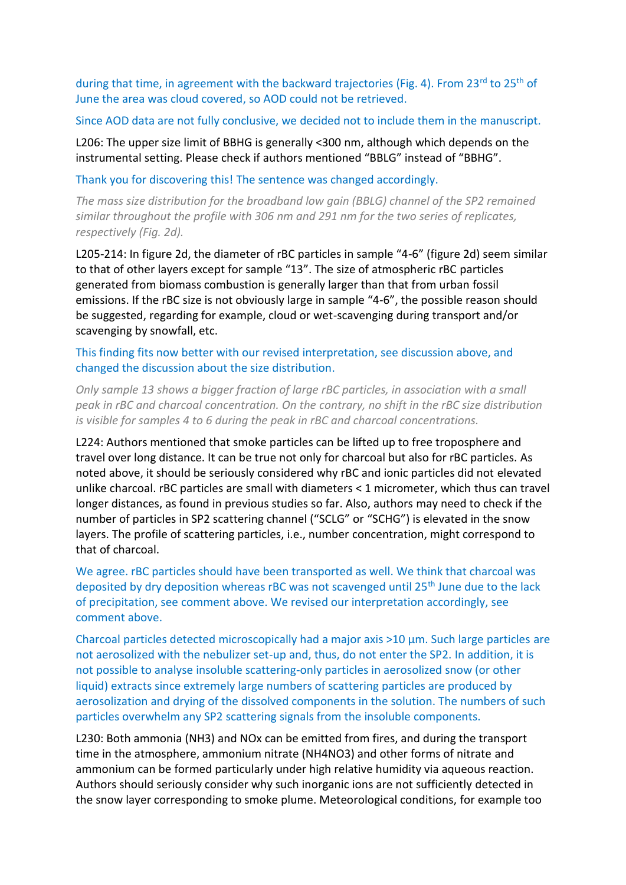during that time, in agreement with the backward trajectories (Fig. 4). From  $23^{rd}$  to  $25^{th}$  of June the area was cloud covered, so AOD could not be retrieved.

#### Since AOD data are not fully conclusive, we decided not to include them in the manuscript.

L206: The upper size limit of BBHG is generally <300 nm, although which depends on the instrumental setting. Please check if authors mentioned "BBLG" instead of "BBHG".

Thank you for discovering this! The sentence was changed accordingly.

*The mass size distribution for the broadband low gain (BBLG) channel of the SP2 remained similar throughout the profile with 306 nm and 291 nm for the two series of replicates, respectively (Fig. 2d).* 

L205-214: In figure 2d, the diameter of rBC particles in sample "4-6" (figure 2d) seem similar to that of other layers except for sample "13". The size of atmospheric rBC particles generated from biomass combustion is generally larger than that from urban fossil emissions. If the rBC size is not obviously large in sample "4-6", the possible reason should be suggested, regarding for example, cloud or wet-scavenging during transport and/or scavenging by snowfall, etc.

This finding fits now better with our revised interpretation, see discussion above, and changed the discussion about the size distribution.

*Only sample 13 shows a bigger fraction of large rBC particles, in association with a small peak in rBC and charcoal concentration. On the contrary, no shift in the rBC size distribution is visible for samples 4 to 6 during the peak in rBC and charcoal concentrations.* 

L224: Authors mentioned that smoke particles can be lifted up to free troposphere and travel over long distance. It can be true not only for charcoal but also for rBC particles. As noted above, it should be seriously considered why rBC and ionic particles did not elevated unlike charcoal. rBC particles are small with diameters < 1 micrometer, which thus can travel longer distances, as found in previous studies so far. Also, authors may need to check if the number of particles in SP2 scattering channel ("SCLG" or "SCHG") is elevated in the snow layers. The profile of scattering particles, i.e., number concentration, might correspond to that of charcoal.

We agree. rBC particles should have been transported as well. We think that charcoal was deposited by dry deposition whereas rBC was not scavenged until 25<sup>th</sup> June due to the lack of precipitation, see comment above. We revised our interpretation accordingly, see comment above.

Charcoal particles detected microscopically had a major axis >10 μm. Such large particles are not aerosolized with the nebulizer set-up and, thus, do not enter the SP2. In addition, it is not possible to analyse insoluble scattering-only particles in aerosolized snow (or other liquid) extracts since extremely large numbers of scattering particles are produced by aerosolization and drying of the dissolved components in the solution. The numbers of such particles overwhelm any SP2 scattering signals from the insoluble components.

L230: Both ammonia (NH3) and NOx can be emitted from fires, and during the transport time in the atmosphere, ammonium nitrate (NH4NO3) and other forms of nitrate and ammonium can be formed particularly under high relative humidity via aqueous reaction. Authors should seriously consider why such inorganic ions are not sufficiently detected in the snow layer corresponding to smoke plume. Meteorological conditions, for example too